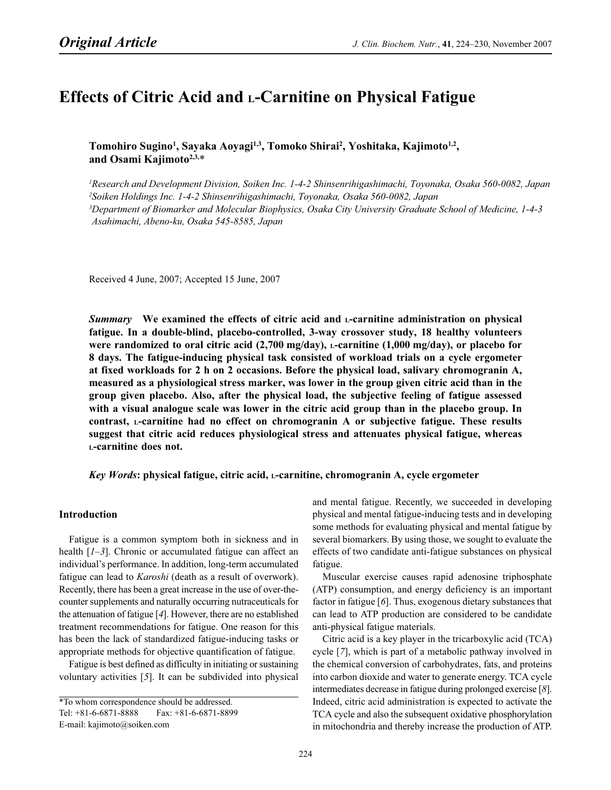# Effects of Citric Acid and *L*-Carnitine on Physical Fatigue

Tomohiro Sugino<sup>1</sup>, Sayaka Aoyagi<sup>1,3</sup>, Tomoko Shirai<sup>2</sup>, Yoshitaka, Kajimoto<sup>1,2</sup>, and Osami Kajimoto<sup>2,3,\*</sup>

<sup>1</sup>Research and Development Division, Soiken Inc. 1-4-2 Shinsenrihigashimachi, Toyonaka, Osaka 560-0082, Japan 2 Soiken Holdings Inc. 1-4-2 Shinsenrihigashimachi, Toyonaka, Osaka 560-0082, Japan 3 Department of Biomarker and Molecular Biophysics, Osaka City University Graduate School of Medicine, 1-4-3 Asahimachi, Abeno-ku, Osaka 545-8585, Japan

Received 4 June, 2007; Accepted 15 June, 2007

Summary We examined the effects of citric acid and L-carnitine administration on physical fatigue. In a double-blind, placebo-controlled, 3-way crossover study, 18 healthy volunteers were randomized to oral citric acid  $(2,700 \text{ mg/day})$ , L-carnitine  $(1,000 \text{ mg/day})$ , or placebo for 8 days. The fatigue-inducing physical task consisted of workload trials on a cycle ergometer at fixed workloads for 2 h on 2 occasions. Before the physical load, salivary chromogranin A, measured as a physiological stress marker, was lower in the group given citric acid than in the group given placebo. Also, after the physical load, the subjective feeling of fatigue assessed with a visual analogue scale was lower in the citric acid group than in the placebo group. In contrast, L-carnitine had no effect on chromogranin A or subjective fatigue. These results suggest that citric acid reduces physiological stress and attenuates physical fatigue, whereas <sup>L</sup>-carnitine does not.

### Key Words: physical fatigue, citric acid, L-carnitine, chromogranin A, cycle ergometer

## Introduction

Fatigue is a common symptom both in sickness and in health  $[1-3]$ . Chronic or accumulated fatigue can affect an individual's performance. In addition, long-term accumulated fatigue can lead to Karoshi (death as a result of overwork). Recently, there has been a great increase in the use of over-thecounter supplements and naturally occurring nutraceuticals for the attenuation of fatigue [4]. However, there are no established treatment recommendations for fatigue. One reason for this has been the lack of standardized fatigue-inducing tasks or appropriate methods for objective quantification of fatigue.

Fatigue is best defined as difficulty in initiating or sustaining voluntary activities [5]. It can be subdivided into physical and mental fatigue. Recently, we succeeded in developing physical and mental fatigue-inducing tests and in developing some methods for evaluating physical and mental fatigue by several biomarkers. By using those, we sought to evaluate the effects of two candidate anti-fatigue substances on physical fatigue.

Muscular exercise causes rapid adenosine triphosphate (ATP) consumption, and energy deficiency is an important factor in fatigue [6]. Thus, exogenous dietary substances that can lead to ATP production are considered to be candidate anti-physical fatigue materials.

Citric acid is a key player in the tricarboxylic acid (TCA) cycle [7], which is part of a metabolic pathway involved in the chemical conversion of carbohydrates, fats, and proteins into carbon dioxide and water to generate energy. TCA cycle intermediates decrease in fatigue during prolonged exercise [8]. Indeed, citric acid administration is expected to activate the TCA cycle and also the subsequent oxidative phosphorylation in mitochondria and thereby increase the production of ATP.

<sup>\*</sup>To whom correspondence should be addressed. Tel: +81-6-6871-8888 Fax: +81-6-6871-8899 E-mail: kajimoto@soiken.com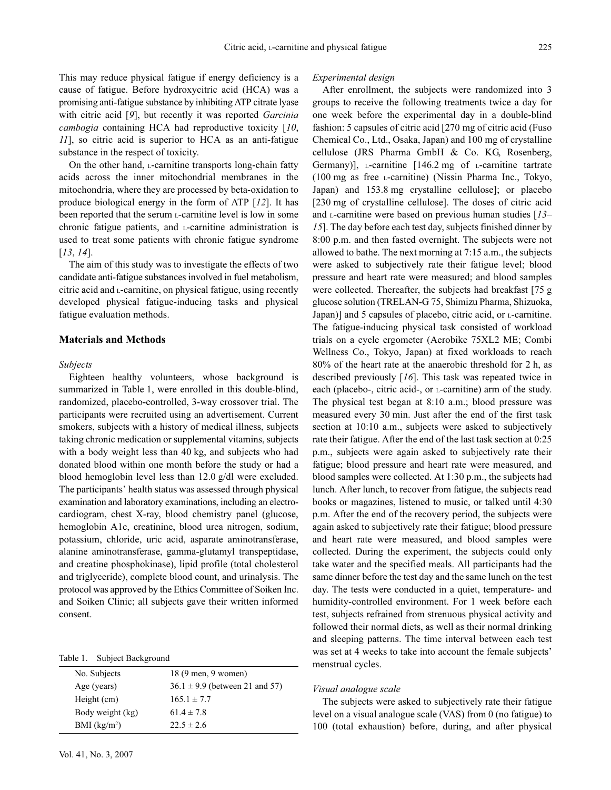This may reduce physical fatigue if energy deficiency is a cause of fatigue. Before hydroxycitric acid (HCA) was a promising anti-fatigue substance by inhibiting ATP citrate lyase with citric acid [9], but recently it was reported Garcinia cambogia containing HCA had reproductive toxicity [10, 11], so citric acid is superior to HCA as an anti-fatigue substance in the respect of toxicity.

On the other hand, L-carnitine transports long-chain fatty acids across the inner mitochondrial membranes in the mitochondria, where they are processed by beta-oxidation to produce biological energy in the form of ATP [12]. It has been reported that the serum L-carnitine level is low in some chronic fatigue patients, and L-carnitine administration is used to treat some patients with chronic fatigue syndrome [13, 14].

The aim of this study was to investigate the effects of two candidate anti-fatigue substances involved in fuel metabolism, citric acid and  $<sub>L</sub>$ -carnitine, on physical fatigue, using recently</sub> developed physical fatigue-inducing tasks and physical fatigue evaluation methods.

## Materials and Methods

### Subjects

Eighteen healthy volunteers, whose background is summarized in Table 1, were enrolled in this double-blind, randomized, placebo-controlled, 3-way crossover trial. The participants were recruited using an advertisement. Current smokers, subjects with a history of medical illness, subjects taking chronic medication or supplemental vitamins, subjects with a body weight less than 40 kg, and subjects who had donated blood within one month before the study or had a blood hemoglobin level less than 12.0 g/dl were excluded. The participants' health status was assessed through physical examination and laboratory examinations, including an electrocardiogram, chest X-ray, blood chemistry panel (glucose, hemoglobin A1c, creatinine, blood urea nitrogen, sodium, potassium, chloride, uric acid, asparate aminotransferase, alanine aminotransferase, gamma-glutamyl transpeptidase, and creatine phosphokinase), lipid profile (total cholesterol and triglyceride), complete blood count, and urinalysis. The protocol was approved by the Ethics Committee of Soiken Inc. and Soiken Clinic; all subjects gave their written informed consent.

#### Table 1. Subject Background

| No. Subjects     | 18 (9 men, 9 women)                |
|------------------|------------------------------------|
| Age (years)      | $36.1 \pm 9.9$ (between 21 and 57) |
| Height (cm)      | $165.1 \pm 7.7$                    |
| Body weight (kg) | $61.4 \pm 7.8$                     |
| BMI $(kg/m2)$    | $22.5 \pm 2.6$                     |

## Experimental design

After enrollment, the subjects were randomized into 3 groups to receive the following treatments twice a day for one week before the experimental day in a double-blind fashion: 5 capsules of citric acid [270 mg of citric acid (Fuso Chemical Co., Ltd., Osaka, Japan) and 100 mg of crystalline cellulose (JRS Pharma GmbH & Co. KG, Rosenberg, Germany)],  $L$ -carnitine [146.2 mg of  $L$ -carnitine tartrate (100 mg as free L-carnitine) (Nissin Pharma Inc., Tokyo, Japan) and 153.8 mg crystalline cellulose]; or placebo [230 mg of crystalline cellulose]. The doses of citric acid and  $\text{L}$ -carnitine were based on previous human studies [13– 15]. The day before each test day, subjects finished dinner by 8:00 p.m. and then fasted overnight. The subjects were not allowed to bathe. The next morning at 7:15 a.m., the subjects were asked to subjectively rate their fatigue level; blood pressure and heart rate were measured; and blood samples were collected. Thereafter, the subjects had breakfast [75 g glucose solution (TRELAN-G 75, Shimizu Pharma, Shizuoka, Japan)] and 5 capsules of placebo, citric acid, or L-carnitine. The fatigue-inducing physical task consisted of workload trials on a cycle ergometer (Aerobike 75XL2 ME; Combi Wellness Co., Tokyo, Japan) at fixed workloads to reach 80% of the heart rate at the anaerobic threshold for 2 h, as described previously [16]. This task was repeated twice in each (placebo-, citric acid-, or  $L$ -carnitine) arm of the study. The physical test began at 8:10 a.m.; blood pressure was measured every 30 min. Just after the end of the first task section at 10:10 a.m., subjects were asked to subjectively rate their fatigue. After the end of the last task section at 0:25 p.m., subjects were again asked to subjectively rate their fatigue; blood pressure and heart rate were measured, and blood samples were collected. At 1:30 p.m., the subjects had lunch. After lunch, to recover from fatigue, the subjects read books or magazines, listened to music, or talked until 4:30 p.m. After the end of the recovery period, the subjects were again asked to subjectively rate their fatigue; blood pressure and heart rate were measured, and blood samples were collected. During the experiment, the subjects could only take water and the specified meals. All participants had the same dinner before the test day and the same lunch on the test day. The tests were conducted in a quiet, temperature- and humidity-controlled environment. For 1 week before each test, subjects refrained from strenuous physical activity and followed their normal diets, as well as their normal drinking and sleeping patterns. The time interval between each test was set at 4 weeks to take into account the female subjects' menstrual cycles.

#### Visual analogue scale

The subjects were asked to subjectively rate their fatigue level on a visual analogue scale (VAS) from 0 (no fatigue) to 100 (total exhaustion) before, during, and after physical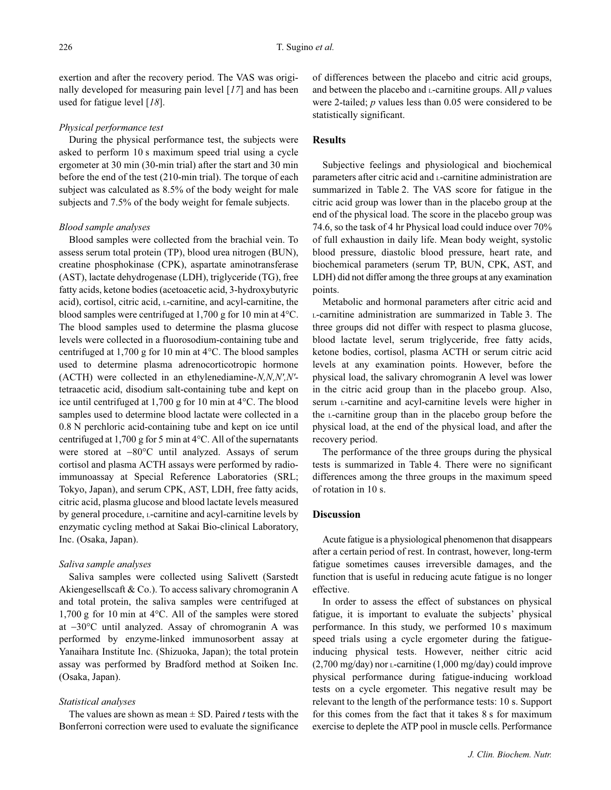exertion and after the recovery period. The VAS was originally developed for measuring pain level [17] and has been used for fatigue level [18].

#### Physical performance test

During the physical performance test, the subjects were asked to perform 10 s maximum speed trial using a cycle ergometer at 30 min (30-min trial) after the start and 30 min before the end of the test (210-min trial). The torque of each subject was calculated as 8.5% of the body weight for male subjects and 7.5% of the body weight for female subjects.

## Blood sample analyses

Blood samples were collected from the brachial vein. To assess serum total protein (TP), blood urea nitrogen (BUN), creatine phosphokinase (CPK), aspartate aminotransferase (AST), lactate dehydrogenase (LDH), triglyceride (TG), free fatty acids, ketone bodies (acetoacetic acid, 3-hydroxybutyric acid), cortisol, citric acid, L-carnitine, and acyl-carnitine, the blood samples were centrifuged at 1,700 g for 10 min at 4°C. The blood samples used to determine the plasma glucose levels were collected in a fluorosodium-containing tube and centrifuged at 1,700 g for 10 min at 4°C. The blood samples used to determine plasma adrenocorticotropic hormone  $(ACTH)$  were collected in an ethylenediamine- $N, N, N', N'$ tetraacetic acid, disodium salt-containing tube and kept on ice until centrifuged at 1,700 g for 10 min at 4°C. The blood samples used to determine blood lactate were collected in a 0.8 N perchloric acid-containing tube and kept on ice until centrifuged at 1,700 g for 5 min at 4°C. All of the supernatants were stored at −80°C until analyzed. Assays of serum cortisol and plasma ACTH assays were performed by radioimmunoassay at Special Reference Laboratories (SRL; Tokyo, Japan), and serum CPK, AST, LDH, free fatty acids, citric acid, plasma glucose and blood lactate levels measured by general procedure,  $L$ -carnitine and acyl-carnitine levels by enzymatic cycling method at Sakai Bio-clinical Laboratory, Inc. (Osaka, Japan).

## Saliva sample analyses

Saliva samples were collected using Salivett (Sarstedt Akiengesellscaft & Co.). To access salivary chromogranin A and total protein, the saliva samples were centrifuged at 1,700 g for 10 min at 4°C. All of the samples were stored at −30°C until analyzed. Assay of chromogranin A was performed by enzyme-linked immunosorbent assay at Yanaihara Institute Inc. (Shizuoka, Japan); the total protein assay was performed by Bradford method at Soiken Inc. (Osaka, Japan).

## Statistical analyses

The values are shown as mean  $\pm$  SD. Paired *t* tests with the Bonferroni correction were used to evaluate the significance of differences between the placebo and citric acid groups, and between the placebo and  $L$ -carnitine groups. All  $p$  values were 2-tailed; p values less than 0.05 were considered to be statistically significant.

## **Results**

Subjective feelings and physiological and biochemical parameters after citric acid and L-carnitine administration are summarized in Table 2. The VAS score for fatigue in the citric acid group was lower than in the placebo group at the end of the physical load. The score in the placebo group was 74.6, so the task of 4 hr Physical load could induce over 70% of full exhaustion in daily life. Mean body weight, systolic blood pressure, diastolic blood pressure, heart rate, and biochemical parameters (serum TP, BUN, CPK, AST, and LDH) did not differ among the three groups at any examination points.

Metabolic and hormonal parameters after citric acid and <sup>L</sup>-carnitine administration are summarized in Table 3. The three groups did not differ with respect to plasma glucose, blood lactate level, serum triglyceride, free fatty acids, ketone bodies, cortisol, plasma ACTH or serum citric acid levels at any examination points. However, before the physical load, the salivary chromogranin A level was lower in the citric acid group than in the placebo group. Also, serum L-carnitine and acyl-carnitine levels were higher in the L-carnitine group than in the placebo group before the physical load, at the end of the physical load, and after the recovery period.

The performance of the three groups during the physical tests is summarized in Table 4. There were no significant differences among the three groups in the maximum speed of rotation in 10 s.

## Discussion

Acute fatigue is a physiological phenomenon that disappears after a certain period of rest. In contrast, however, long-term fatigue sometimes causes irreversible damages, and the function that is useful in reducing acute fatigue is no longer effective.

In order to assess the effect of substances on physical fatigue, it is important to evaluate the subjects' physical performance. In this study, we performed 10 s maximum speed trials using a cycle ergometer during the fatigueinducing physical tests. However, neither citric acid (2,700 mg/day) nor L-carnitine (1,000 mg/day) could improve physical performance during fatigue-inducing workload tests on a cycle ergometer. This negative result may be relevant to the length of the performance tests: 10 s. Support for this comes from the fact that it takes 8 s for maximum exercise to deplete the ATP pool in muscle cells. Performance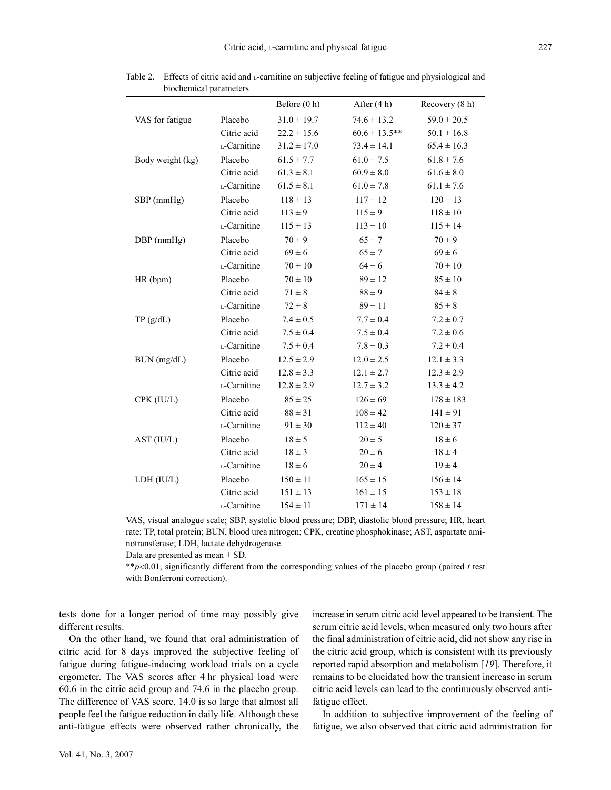|                  |                                | Before (0 h)    | After (4 h)        | Recovery (8 h)  |
|------------------|--------------------------------|-----------------|--------------------|-----------------|
| VAS for fatigue  | Placebo                        | $31.0 \pm 19.7$ | $74.6 \pm 13.2$    | $59.0 \pm 20.5$ |
|                  | Citric acid                    | $22.2 \pm 15.6$ | $60.6 \pm 13.5$ ** | $50.1 \pm 16.8$ |
|                  | L-Carnitine                    | $31.2 \pm 17.0$ | $73.4 \pm 14.1$    | $65.4 \pm 16.3$ |
| Body weight (kg) | Placebo                        | $61.5 \pm 7.7$  | $61.0 \pm 7.5$     | $61.8 \pm 7.6$  |
|                  | Citric acid                    | $61.3 \pm 8.1$  | $60.9 \pm 8.0$     | $61.6 \pm 8.0$  |
|                  | L-Carnitine                    | $61.5 \pm 8.1$  | $61.0 \pm 7.8$     | $61.1 \pm 7.6$  |
| SBP (mmHg)       | Placebo                        | $118 \pm 13$    | $117 \pm 12$       | $120 \pm 13$    |
|                  | Citric acid                    | $113 \pm 9$     | $115 \pm 9$        | $118 \pm 10$    |
|                  | L-Carnitine                    | $115 \pm 13$    | $113 \pm 10$       | $115 \pm 14$    |
| DBP (mmHg)       | Placebo                        | $70 \pm 9$      | $65 \pm 7$         | $70 \pm 9$      |
|                  | Citric acid                    | $69 \pm 6$      | $65\pm7$           | $69 \pm 6$      |
|                  | L-Carnitine                    | $70 \pm 10$     | $64 \pm 6$         | $70 \pm 10$     |
| HR(bpm)          | Placebo                        | $70 \pm 10$     | $89 \pm 12$        | $85 \pm 10$     |
|                  | Citric acid                    | $71 \pm 8$      | $88 \pm 9$         | $84 \pm 8$      |
|                  | $_{\mbox{\tiny L}}$ -Carnitine | $72 \pm 8$      | $89 \pm 11$        | $85 \pm 8$      |
| TP(g/dL)         | Placebo                        | $7.4 \pm 0.5$   | $7.7 \pm 0.4$      | $7.2 \pm 0.7$   |
|                  | Citric acid                    | $7.5 \pm 0.4$   | $7.5 \pm 0.4$      | $7.2 \pm 0.6$   |
|                  | L-Carnitine                    | $7.5 \pm 0.4$   | $7.8 \pm 0.3$      | $7.2 \pm 0.4$   |
| BUN (mg/dL)      | Placebo                        | $12.5 \pm 2.9$  | $12.0 \pm 2.5$     | $12.1 \pm 3.3$  |
|                  | Citric acid                    | $12.8 \pm 3.3$  | $12.1 \pm 2.7$     | $12.3 \pm 2.9$  |
|                  | L-Carnitine                    | $12.8 \pm 2.9$  | $12.7 \pm 3.2$     | $13.3 \pm 4.2$  |
| CPK (IU/L)       | Placebo                        | $85 \pm 25$     | $126 \pm 69$       | $178 \pm 183$   |
|                  | Citric acid                    | $88 \pm 31$     | $108 \pm 42$       | $141 \pm 91$    |
|                  | L-Carnitine                    | $91 \pm 30$     | $112 \pm 40$       | $120 \pm 37$    |
| AST (IU/L)       | Placebo                        | $18 \pm 5$      | $20 \pm 5$         | $18 \pm 6$      |
|                  | Citric acid                    | $18 \pm 3$      | $20 \pm 6$         | $18 \pm 4$      |
|                  | L-Carnitine                    | $18 \pm 6$      | $20 \pm 4$         | $19 \pm 4$      |
| LDH (IU/L)       | Placebo                        | $150 \pm 11$    | $165 \pm 15$       | $156 \pm 14$    |
|                  | Citric acid                    | $151 \pm 13$    | $161 \pm 15$       | $153 \pm 18$    |
|                  | L-Carnitine                    | $154 \pm 11$    | $171 \pm 14$       | $158 \pm 14$    |

Table 2. Effects of citric acid and L-carnitine on subjective feeling of fatigue and physiological and biochemical parameters

VAS, visual analogue scale; SBP, systolic blood pressure; DBP, diastolic blood pressure; HR, heart rate; TP, total protein; BUN, blood urea nitrogen; CPK, creatine phosphokinase; AST, aspartate aminotransferase; LDH, lactate dehydrogenase.

Data are presented as mean  $\pm$  SD.

\*\*p<0.01, significantly different from the corresponding values of the placebo group (paired t test with Bonferroni correction).

tests done for a longer period of time may possibly give different results.

On the other hand, we found that oral administration of citric acid for 8 days improved the subjective feeling of fatigue during fatigue-inducing workload trials on a cycle ergometer. The VAS scores after 4 hr physical load were 60.6 in the citric acid group and 74.6 in the placebo group. The difference of VAS score, 14.0 is so large that almost all people feel the fatigue reduction in daily life. Although these anti-fatigue effects were observed rather chronically, the increase in serum citric acid level appeared to be transient. The serum citric acid levels, when measured only two hours after the final administration of citric acid, did not show any rise in the citric acid group, which is consistent with its previously reported rapid absorption and metabolism [19]. Therefore, it remains to be elucidated how the transient increase in serum citric acid levels can lead to the continuously observed antifatigue effect.

In addition to subjective improvement of the feeling of fatigue, we also observed that citric acid administration for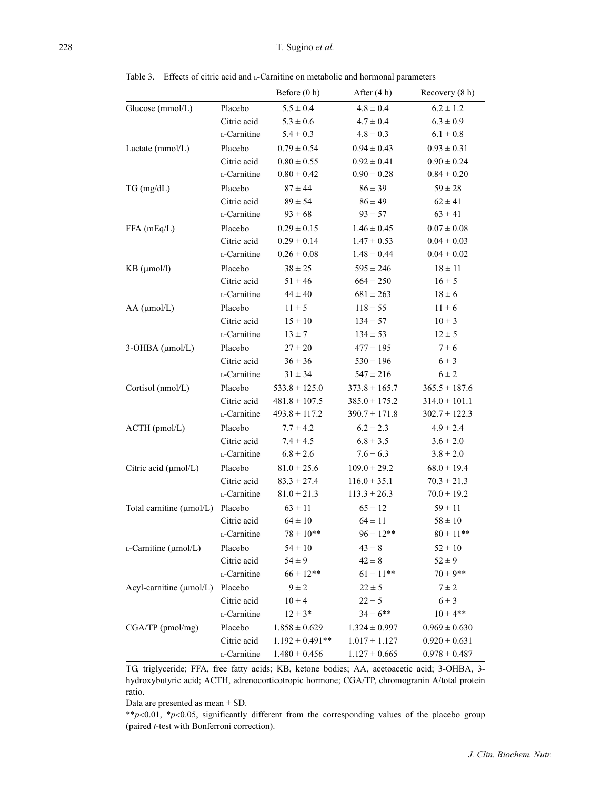Table 3. Effects of citric acid and L-Carnitine on metabolic and hormonal parameters

|                               |             | Before $(0 h)$      | After $(4 h)$     | Recovery (8 h)    |
|-------------------------------|-------------|---------------------|-------------------|-------------------|
| Glucose (mmol/L)              | Placebo     | $5.5 \pm 0.4$       | $4.8 \pm 0.4$     | $6.2 \pm 1.2$     |
|                               | Citric acid | $5.3 \pm 0.6$       | $4.7 \pm 0.4$     | $6.3 \pm 0.9$     |
|                               | L-Carnitine | $5.4 \pm 0.3$       | $4.8 \pm 0.3$     | $6.1 \pm 0.8$     |
| Lactate (mmol/L)              | Placebo     | $0.79 \pm 0.54$     | $0.94 \pm 0.43$   | $0.93 \pm 0.31$   |
|                               | Citric acid | $0.80 \pm 0.55$     | $0.92 \pm 0.41$   | $0.90 \pm 0.24$   |
|                               | L-Carnitine | $0.80 \pm 0.42$     | $0.90 \pm 0.28$   | $0.84 \pm 0.20$   |
| $TG \, (mg/dL)$               | Placebo     | $87 \pm 44$         | $86 \pm 39$       | $59 \pm 28$       |
|                               | Citric acid | $89 \pm 54$         | $86 \pm 49$       | $62 \pm 41$       |
|                               | L-Carnitine | $93 \pm 68$         | $93 \pm 57$       | $63 \pm 41$       |
| FFA (mEq/L)                   | Placebo     | $0.29 \pm 0.15$     | $1.46 \pm 0.45$   | $0.07 \pm 0.08$   |
|                               | Citric acid | $0.29 \pm 0.14$     | $1.47 \pm 0.53$   | $0.04 \pm 0.03$   |
|                               | L-Carnitine | $0.26 \pm 0.08$     | $1.48 \pm 0.44$   | $0.04 \pm 0.02$   |
| $KB \ (µmol/l)$               | Placebo     | $38 \pm 25$         | $595 \pm 246$     | $18 \pm 11$       |
|                               | Citric acid | $51 \pm 46$         | $664 \pm 250$     | $16 \pm 5$        |
|                               | L-Carnitine | $44 \pm 40$         | $681 \pm 263$     | $18 \pm 6$        |
| $AA$ ( $\mu$ mol/L)           | Placebo     | $11 \pm 5$          | $118 \pm 55$      | $11 \pm 6$        |
|                               | Citric acid | $15 \pm 10$         | $134 \pm 57$      | $10 \pm 3$        |
|                               | L-Carnitine | $13 \pm 7$          | $134 \pm 53$      | $12 \pm 5$        |
| $3-OHBA$ ( $\mu$ mol/L)       | Placebo     | $27 \pm 20$         | $477 \pm 195$     | $7 \pm 6$         |
|                               | Citric acid | $36 \pm 36$         | $530 \pm 196$     | $6 \pm 3$         |
|                               | L-Carnitine | $31 \pm 34$         | $547 \pm 216$     | $6 \pm 2$         |
| Cortisol (nmol/L)             | Placebo     | $533.8 \pm 125.0$   | $373.8 \pm 165.7$ | $365.5 \pm 187.6$ |
|                               | Citric acid | $481.8 \pm 107.5$   | $385.0 \pm 175.2$ | $314.0 \pm 101.1$ |
|                               | L-Carnitine | $493.8 \pm 117.2$   | $390.7 \pm 171.8$ | $302.7 \pm 122.3$ |
| ACTH (pmol/L)                 | Placebo     | $7.7 \pm 4.2$       | $6.2 \pm 2.3$     | $4.9 \pm 2.4$     |
|                               | Citric acid | $7.4 \pm 4.5$       | $6.8 \pm 3.5$     | $3.6 \pm 2.0$     |
|                               | L-Carnitine | $6.8 \pm 2.6$       | $7.6 \pm 6.3$     | $3.8 \pm 2.0$     |
| Citric acid (µmol/L)          | Placebo     | $81.0 \pm 25.6$     | $109.0 \pm 29.2$  | $68.0 \pm 19.4$   |
|                               | Citric acid | $83.3 \pm 27.4$     | $116.0 \pm 35.1$  | $70.3 \pm 21.3$   |
|                               | L-Carnitine | $81.0 \pm 21.3$     | $113.3 \pm 26.3$  | $70.0 \pm 19.2$   |
| Total carnitine (µmol/L)      | Placebo     | $63 \pm 11$         | $65 \pm 12$       | $59 \pm 11$       |
|                               | Citric acid | $64 \pm 10$         | $64 \pm 11$       | $58 \pm 10$       |
|                               | L-Carnitine | $78 \pm 10^{**}$    | $96 \pm 12$ **    | $80 \pm 11$ **    |
| $L$ -Carnitine ( $\mu$ mol/L) | Placebo     | $54 \pm 10$         | $43\pm8$          | $52 \pm 10$       |
|                               | Citric acid | $54 \pm 9$          | $42 \pm 8$        | $52 \pm 9$        |
|                               | L-Carnitine | $66 \pm 12$ **      | $61 \pm 11$ **    | $70 \pm 9$ **     |
| Acyl-carnitine (µmol/L)       | Placebo     | $9 \pm 2$           | $22 \pm 5$        | $7 \pm 2$         |
|                               | Citric acid | $10 \pm 4$          | $22 \pm 5$        | $6 \pm 3$         |
|                               | L-Carnitine | $12 \pm 3*$         | $34 \pm 6$ **     | $10 \pm 4**$      |
| CGA/TP (pmol/mg)              | Placebo     | $1.858 \pm 0.629$   | $1.324 \pm 0.997$ | $0.969 \pm 0.630$ |
|                               | Citric acid | $1.192 \pm 0.491**$ | $1.017 \pm 1.127$ | $0.920 \pm 0.631$ |
|                               | L-Carnitine | $1.480 \pm 0.456$   | $1.127 \pm 0.665$ | $0.978 \pm 0.487$ |

TG, triglyceride; FFA, free fatty acids; KB, ketone bodies; AA, acetoacetic acid; 3-OHBA, 3 hydroxybutyric acid; ACTH, adrenocorticotropic hormone; CGA/TP, chromogranin A/total protein ratio.

Data are presented as mean ± SD.

\*\*p<0.01, \*p<0.05, significantly different from the corresponding values of the placebo group (paired t-test with Bonferroni correction).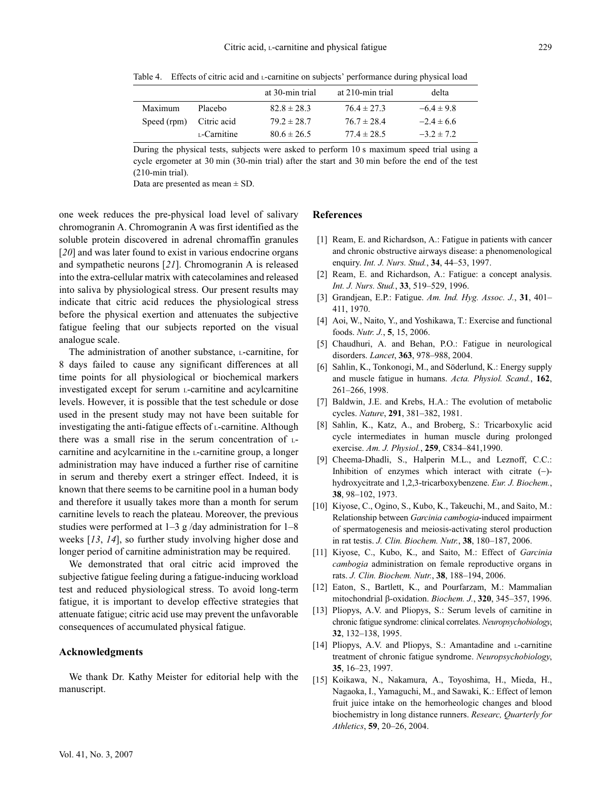|             |             | at 30-min trial | at 210-min trial | delta          |
|-------------|-------------|-----------------|------------------|----------------|
|             |             |                 |                  |                |
| Maximum     | Placebo     | $82.8 \pm 28.3$ | $76.4 \pm 27.3$  | $-6.4 \pm 9.8$ |
| Speed (rpm) | Citric acid | $79.2 \pm 28.7$ | $76.7 \pm 28.4$  | $-2.4 \pm 6.6$ |
|             | L-Carnitine | $80.6 \pm 26.5$ | $77.4 \pm 28.5$  | $-3.2 \pm 7.2$ |

Table 4. Effects of citric acid and L-carnitine on subjects' performance during physical load

During the physical tests, subjects were asked to perform 10 s maximum speed trial using a cycle ergometer at 30 min (30-min trial) after the start and 30 min before the end of the test (210-min trial).

Data are presented as mean  $\pm$  SD.

one week reduces the pre-physical load level of salivary chromogranin A. Chromogranin A was first identified as the soluble protein discovered in adrenal chromaffin granules [20] and was later found to exist in various endocrine organs and sympathetic neurons [21]. Chromogranin A is released into the extra-cellular matrix with catecolamines and released into saliva by physiological stress. Our present results may indicate that citric acid reduces the physiological stress before the physical exertion and attenuates the subjective fatigue feeling that our subjects reported on the visual analogue scale.

The administration of another substance, L-carnitine, for 8 days failed to cause any significant differences at all time points for all physiological or biochemical markers investigated except for serum L-carnitine and acylcarnitine levels. However, it is possible that the test schedule or dose used in the present study may not have been suitable for investigating the anti-fatigue effects of  $L$ -carnitine. Although there was a small rise in the serum concentration of Lcarnitine and acylcarnitine in the L-carnitine group, a longer administration may have induced a further rise of carnitine in serum and thereby exert a stringer effect. Indeed, it is known that there seems to be carnitine pool in a human body and therefore it usually takes more than a month for serum carnitine levels to reach the plateau. Moreover, the previous studies were performed at  $1-3$  g/day administration for  $1-8$ weeks [13, 14], so further study involving higher dose and longer period of carnitine administration may be required.

We demonstrated that oral citric acid improved the subjective fatigue feeling during a fatigue-inducing workload test and reduced physiological stress. To avoid long-term fatigue, it is important to develop effective strategies that attenuate fatigue; citric acid use may prevent the unfavorable consequences of accumulated physical fatigue.

## Acknowledgments

We thank Dr. Kathy Meister for editorial help with the manuscript.

#### References

- [1] Ream, E. and Richardson, A.: Fatigue in patients with cancer and chronic obstructive airways disease: a phenomenological enquiry. Int. J. Nurs. Stud., 34, 44–53, 1997.
- [2] Ream, E. and Richardson, A.: Fatigue: a concept analysis. Int. J. Nurs. Stud., 33, 519–529, 1996.
- [3] Grandjean, E.P.: Fatigue. Am. Ind. Hyg. Assoc. J., 31, 401– 411, 1970.
- [4] Aoi, W., Naito, Y., and Yoshikawa, T.: Exercise and functional foods. Nutr. J., 5, 15, 2006.
- [5] Chaudhuri, A. and Behan, P.O.: Fatigue in neurological disorders. Lancet, 363, 978–988, 2004.
- [6] Sahlin, K., Tonkonogi, M., and Söderlund, K.: Energy supply and muscle fatigue in humans. Acta. Physiol. Scand., 162, 261–266, 1998.
- [7] Baldwin, J.E. and Krebs, H.A.: The evolution of metabolic cycles. Nature, 291, 381–382, 1981.
- [8] Sahlin, K., Katz, A., and Broberg, S.: Tricarboxylic acid cycle intermediates in human muscle during prolonged exercise. Am. J. Physiol., 259, C834–841,1990.
- [9] Cheema-Dhadli, S., Halperin M.L., and Leznoff, C.C.: Inhibition of enzymes which interact with citrate (−) hydroxycitrate and 1,2,3-tricarboxybenzene. Eur. J. Biochem., 38, 98–102, 1973.
- [10] Kiyose, C., Ogino, S., Kubo, K., Takeuchi, M., and Saito, M.: Relationship between Garcinia cambogia-induced impairment of spermatogenesis and meiosis-activating sterol production in rat testis. J. Clin. Biochem. Nutr., 38, 180–187, 2006.
- [11] Kiyose, C., Kubo, K., and Saito, M.: Effect of Garcinia cambogia administration on female reproductive organs in rats. J. Clin. Biochem. Nutr., 38, 188–194, 2006.
- [12] Eaton, S., Bartlett, K., and Pourfarzam, M.: Mammalian mitochondrial β-oxidation. Biochem. J., 320, 345–357, 1996.
- [13] Pliopys, A.V. and Pliopys, S.: Serum levels of carnitine in chronic fatigue syndrome: clinical correlates. Neuropsychobiology, 32, 132–138, 1995.
- [14] Pliopys, A.V. and Pliopys, S.: Amantadine and L-carnitine treatment of chronic fatigue syndrome. Neuropsychobiology, 35, 16–23, 1997.
- [15] Koikawa, N., Nakamura, A., Toyoshima, H., Mieda, H., Nagaoka, I., Yamaguchi, M., and Sawaki, K.: Effect of lemon fruit juice intake on the hemorheologic changes and blood biochemistry in long distance runners. Researc, Quarterly for Athletics, 59, 20–26, 2004.